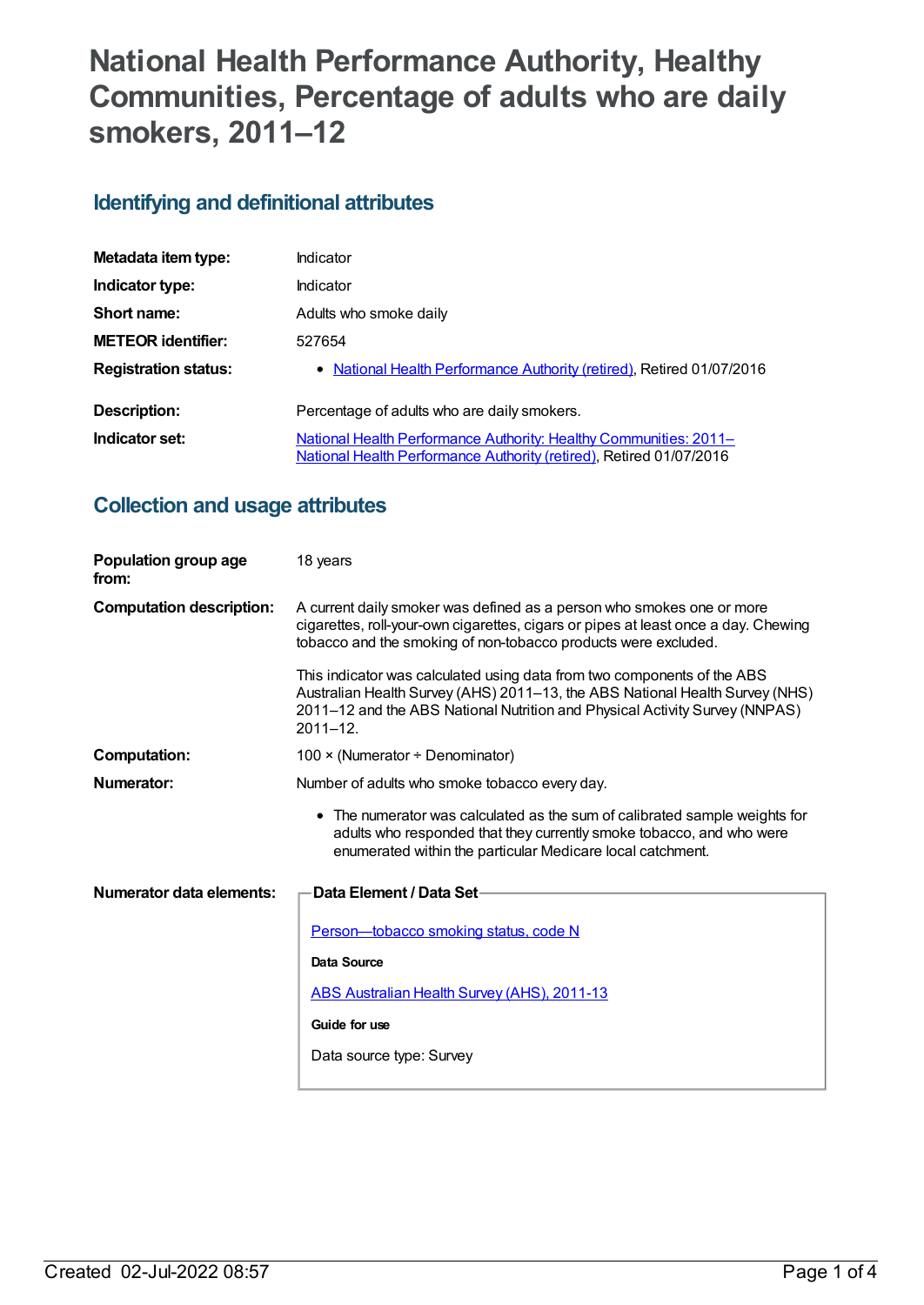# **National Health Performance Authority, Healthy Communities, Percentage of adults who are daily smokers, 2011–12**

### **Identifying and definitional attributes**

| Metadata item type:         | Indicator                                                                                                                                |  |
|-----------------------------|------------------------------------------------------------------------------------------------------------------------------------------|--|
| Indicator type:             | Indicator                                                                                                                                |  |
| Short name:                 | Adults who smoke daily                                                                                                                   |  |
| <b>METEOR identifier:</b>   | 527654                                                                                                                                   |  |
| <b>Registration status:</b> | • National Health Performance Authority (retired), Retired 01/07/2016                                                                    |  |
| Description:                | Percentage of adults who are daily smokers.                                                                                              |  |
| Indicator set:              | National Health Performance Authority: Healthy Communities: 2011-<br>National Health Performance Authority (retired), Retired 01/07/2016 |  |

## **Collection and usage attributes**

| Population group age<br>from:   | 18 years                                                                                                                                                                                                                                                |  |
|---------------------------------|---------------------------------------------------------------------------------------------------------------------------------------------------------------------------------------------------------------------------------------------------------|--|
| <b>Computation description:</b> | A current daily smoker was defined as a person who smokes one or more<br>cigarettes, roll-your-own cigarettes, cigars or pipes at least once a day. Chewing<br>tobacco and the smoking of non-tobacco products were excluded.                           |  |
|                                 | This indicator was calculated using data from two components of the ABS<br>Australian Health Survey (AHS) 2011-13, the ABS National Health Survey (NHS)<br>2011-12 and the ABS National Nutrition and Physical Activity Survey (NNPAS)<br>$2011 - 12$ . |  |
| <b>Computation:</b>             | 100 × (Numerator ÷ Denominator)                                                                                                                                                                                                                         |  |
| Numerator:                      | Number of adults who smoke tobacco every day.                                                                                                                                                                                                           |  |
|                                 | • The numerator was calculated as the sum of calibrated sample weights for<br>adults who responded that they currently smoke tobacco, and who were<br>enumerated within the particular Medicare local catchment.                                        |  |
| Numerator data elements:        | Data Element / Data Set-                                                                                                                                                                                                                                |  |
|                                 | Person-tobacco smoking status, code N                                                                                                                                                                                                                   |  |
|                                 | Data Source                                                                                                                                                                                                                                             |  |
|                                 | ABS Australian Health Survey (AHS), 2011-13                                                                                                                                                                                                             |  |
|                                 | Guide for use                                                                                                                                                                                                                                           |  |
|                                 | Data source type: Survey                                                                                                                                                                                                                                |  |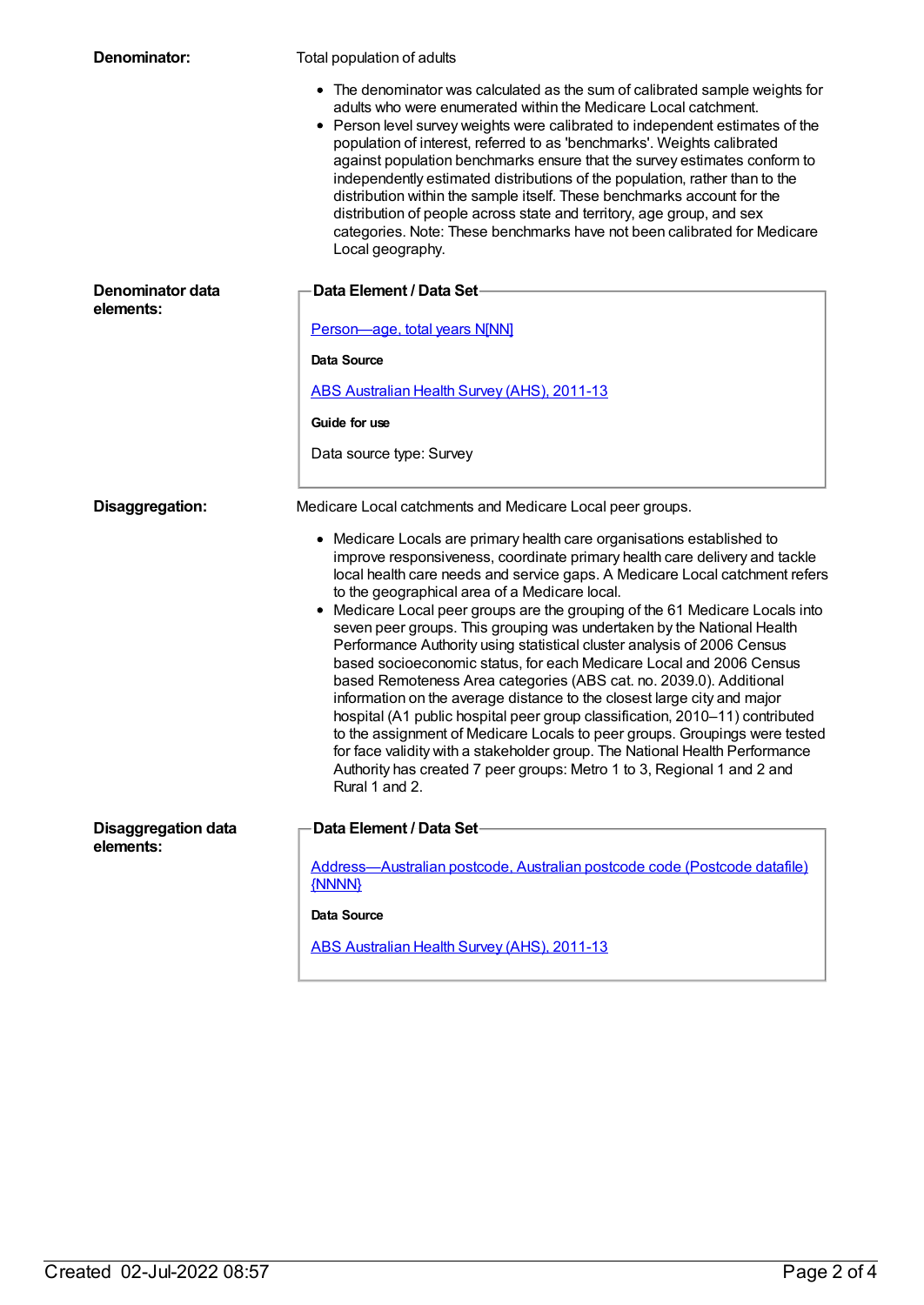| Denominator:                            | Total population of adults                                                                                                                                                                                                                                                                                                                                                                                                                                                                                                                                                                                                                                                                                                                                                                                                                                                                                                                                                                                                                                                                  |  |
|-----------------------------------------|---------------------------------------------------------------------------------------------------------------------------------------------------------------------------------------------------------------------------------------------------------------------------------------------------------------------------------------------------------------------------------------------------------------------------------------------------------------------------------------------------------------------------------------------------------------------------------------------------------------------------------------------------------------------------------------------------------------------------------------------------------------------------------------------------------------------------------------------------------------------------------------------------------------------------------------------------------------------------------------------------------------------------------------------------------------------------------------------|--|
|                                         | • The denominator was calculated as the sum of calibrated sample weights for<br>adults who were enumerated within the Medicare Local catchment.<br>• Person level survey weights were calibrated to independent estimates of the<br>population of interest, referred to as 'benchmarks'. Weights calibrated<br>against population benchmarks ensure that the survey estimates conform to<br>independently estimated distributions of the population, rather than to the<br>distribution within the sample itself. These benchmarks account for the<br>distribution of people across state and territory, age group, and sex<br>categories. Note: These benchmarks have not been calibrated for Medicare<br>Local geography.                                                                                                                                                                                                                                                                                                                                                                 |  |
| Denominator data<br>elements:           | Data Element / Data Set-                                                                                                                                                                                                                                                                                                                                                                                                                                                                                                                                                                                                                                                                                                                                                                                                                                                                                                                                                                                                                                                                    |  |
|                                         | Person-age, total years N[NN]                                                                                                                                                                                                                                                                                                                                                                                                                                                                                                                                                                                                                                                                                                                                                                                                                                                                                                                                                                                                                                                               |  |
|                                         | Data Source                                                                                                                                                                                                                                                                                                                                                                                                                                                                                                                                                                                                                                                                                                                                                                                                                                                                                                                                                                                                                                                                                 |  |
|                                         | ABS Australian Health Survey (AHS), 2011-13                                                                                                                                                                                                                                                                                                                                                                                                                                                                                                                                                                                                                                                                                                                                                                                                                                                                                                                                                                                                                                                 |  |
|                                         | Guide for use                                                                                                                                                                                                                                                                                                                                                                                                                                                                                                                                                                                                                                                                                                                                                                                                                                                                                                                                                                                                                                                                               |  |
|                                         | Data source type: Survey                                                                                                                                                                                                                                                                                                                                                                                                                                                                                                                                                                                                                                                                                                                                                                                                                                                                                                                                                                                                                                                                    |  |
| Disaggregation:                         | Medicare Local catchments and Medicare Local peer groups.                                                                                                                                                                                                                                                                                                                                                                                                                                                                                                                                                                                                                                                                                                                                                                                                                                                                                                                                                                                                                                   |  |
|                                         | • Medicare Locals are primary health care organisations established to<br>improve responsiveness, coordinate primary health care delivery and tackle<br>local health care needs and service gaps. A Medicare Local catchment refers<br>to the geographical area of a Medicare local.<br>• Medicare Local peer groups are the grouping of the 61 Medicare Locals into<br>seven peer groups. This grouping was undertaken by the National Health<br>Performance Authority using statistical cluster analysis of 2006 Census<br>based socioeconomic status, for each Medicare Local and 2006 Census<br>based Remoteness Area categories (ABS cat. no. 2039.0). Additional<br>information on the average distance to the closest large city and major<br>hospital (A1 public hospital peer group classification, 2010-11) contributed<br>to the assignment of Medicare Locals to peer groups. Groupings were tested<br>for face validity with a stakeholder group. The National Health Performance<br>Authority has created 7 peer groups: Metro 1 to 3, Regional 1 and 2 and<br>Rural 1 and 2. |  |
| <b>Disaggregation data</b><br>elements: | Data Element / Data Set-                                                                                                                                                                                                                                                                                                                                                                                                                                                                                                                                                                                                                                                                                                                                                                                                                                                                                                                                                                                                                                                                    |  |
|                                         | Address-Australian postcode, Australian postcode code (Postcode datafile)<br>{NNNN}                                                                                                                                                                                                                                                                                                                                                                                                                                                                                                                                                                                                                                                                                                                                                                                                                                                                                                                                                                                                         |  |
|                                         | <b>Data Source</b>                                                                                                                                                                                                                                                                                                                                                                                                                                                                                                                                                                                                                                                                                                                                                                                                                                                                                                                                                                                                                                                                          |  |
|                                         | ABS Australian Health Survey (AHS), 2011-13                                                                                                                                                                                                                                                                                                                                                                                                                                                                                                                                                                                                                                                                                                                                                                                                                                                                                                                                                                                                                                                 |  |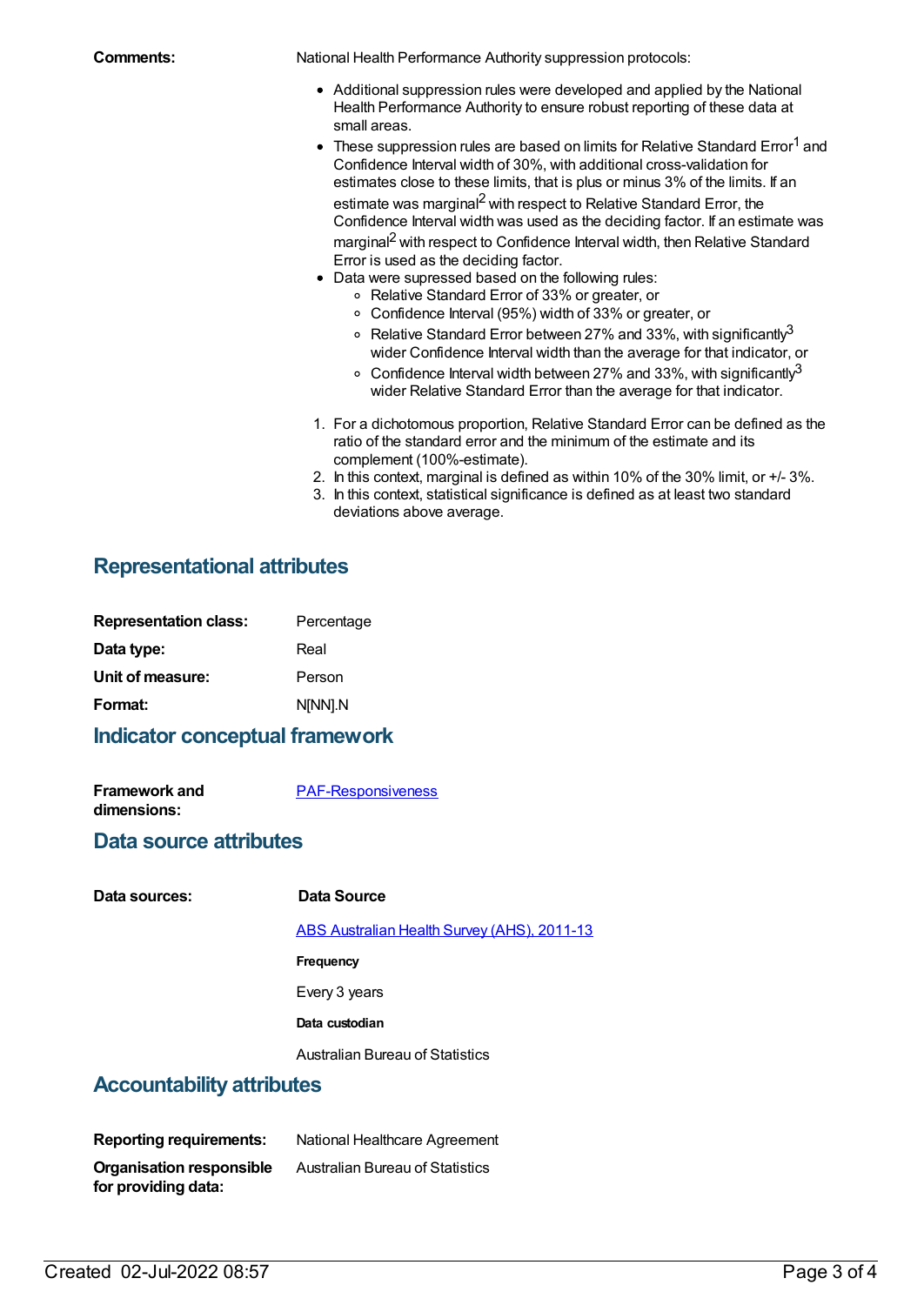**Comments:** National Health Performance Authority suppression protocols:

- Additional suppression rules were developed and applied by the National Health Performance Authority to ensure robust reporting of these data at small areas.
- $\bullet$  These suppression rules are based on limits for Relative Standard Error<sup>1</sup> and Confidence Interval width of 30%, with additional cross-validation for estimates close to these limits, that is plus or minus 3% of the limits. If an estimate was marginal<sup>2</sup> with respect to Relative Standard Error, the Confidence Interval width was used as the deciding factor. If an estimate was marginal<sup>2</sup> with respect to Confidence Interval width, then Relative Standard
- Error is used as the deciding factor. Data were supressed based on the following rules:
	- Relative Standard Error of 33% or greater, or
	- Confidence Interval (95%) width of 33% or greater, or
	- Relative Standard Error between 27% and 33%, with significantly $^3$ wider Confidence Interval width than the average for that indicator, or
	- Confidence Interval width between 27% and 33%, with significantly $^3$ wider Relative Standard Error than the average for that indicator.
- 1. For a dichotomous proportion, Relative Standard Error can be defined as the ratio of the standard error and the minimum of the estimate and its complement (100%-estimate).
- 2. In this context, marginal is defined as within 10% of the 30% limit, or +/- 3%.
- 3. In this context, statistical significance is defined as at least two standard deviations above average.

### **Representational attributes**

| Percentage |
|------------|
| Real       |
| Person     |
| N[NN].N    |
|            |

#### **Indicator conceptual framework**

| <b>Framework and</b> | <b>PAF-Responsiveness</b> |
|----------------------|---------------------------|
| dimensions:          |                           |

#### **Data source attributes**

#### **Data sources: Data Source**

ABS [Australian](https://meteor.aihw.gov.au/content/481875) Health Survey (AHS), 2011-13

**Frequency**

Every 3 years

**Data custodian**

Australian Bureau of Statistics

#### **Accountability attributes**

**Reporting requirements:** National Healthcare Agreement **Organisation responsible for providing data:** Australian Bureau of Statistics